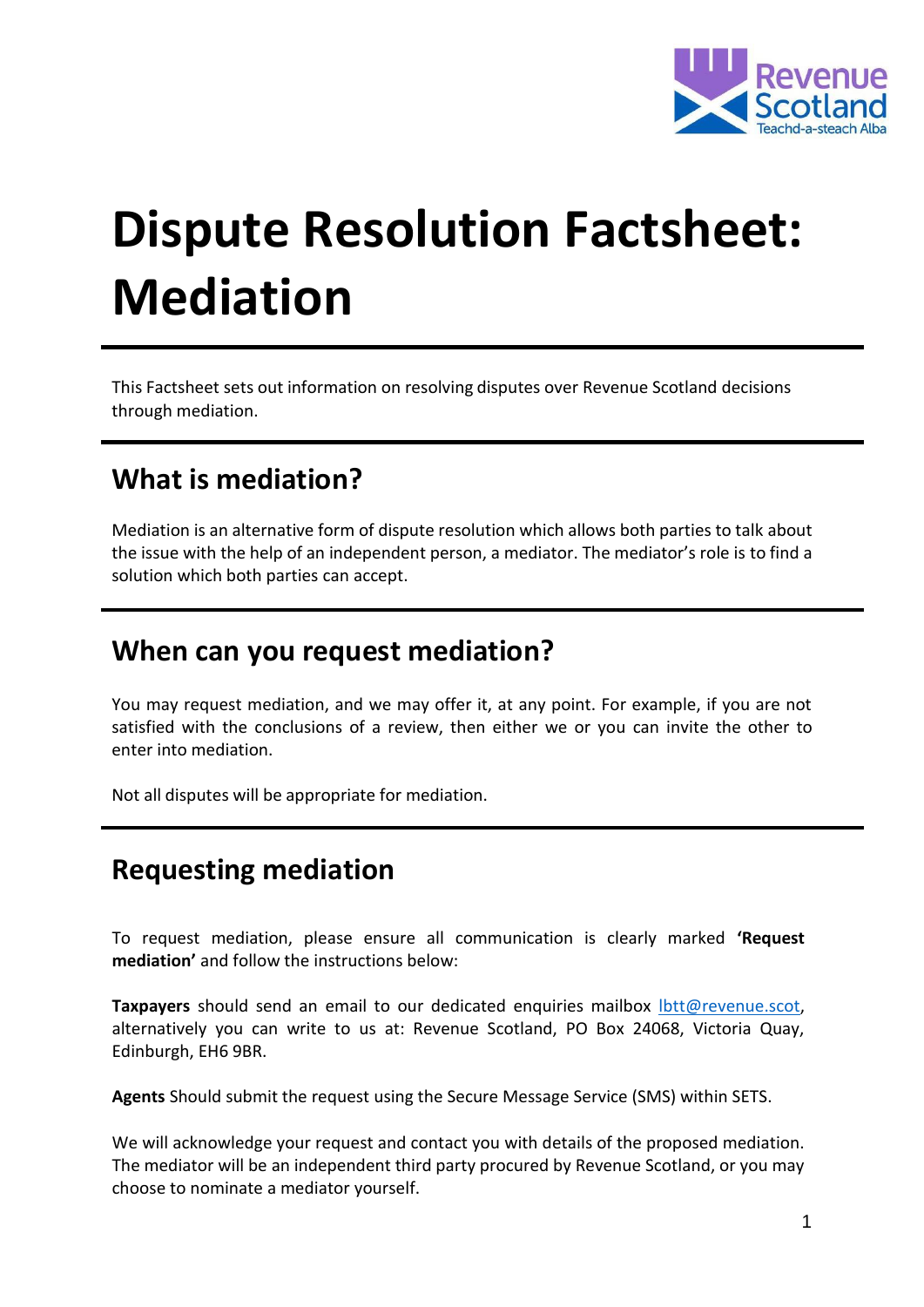

# **Dispute Resolution Factsheet: Mediation**

This Factsheet sets out information on resolving disputes over Revenue Scotland decisions through mediation.

## **What is mediation?**

Mediation is an alternative form of dispute resolution which allows both parties to talk about the issue with the help of an independent person, a mediator. The mediator's role is to find a solution which both parties can accept.

### **When can you request mediation?**

You may request mediation, and we may offer it, at any point. For example, if you are not satisfied with the conclusions of a review, then either we or you can invite the other to enter into mediation.

Not all disputes will be appropriate for mediation.

# **Requesting mediation**

To request mediation, please ensure all communication is clearly marked **'Request mediation'** and follow the instructions below:

**Taxpayers** should send an email to our dedicated enquiries mailbox lott @revenue.scot, alternatively you can write to us at: Revenue Scotland, PO Box 24068, Victoria Quay, Edinburgh, EH6 9BR.

**Agents** Should submit the request using the Secure Message Service (SMS) within SETS.

We will acknowledge your request and contact you with details of the proposed mediation. The mediator will be an independent third party procured by Revenue Scotland, or you may choose to nominate a mediator yourself.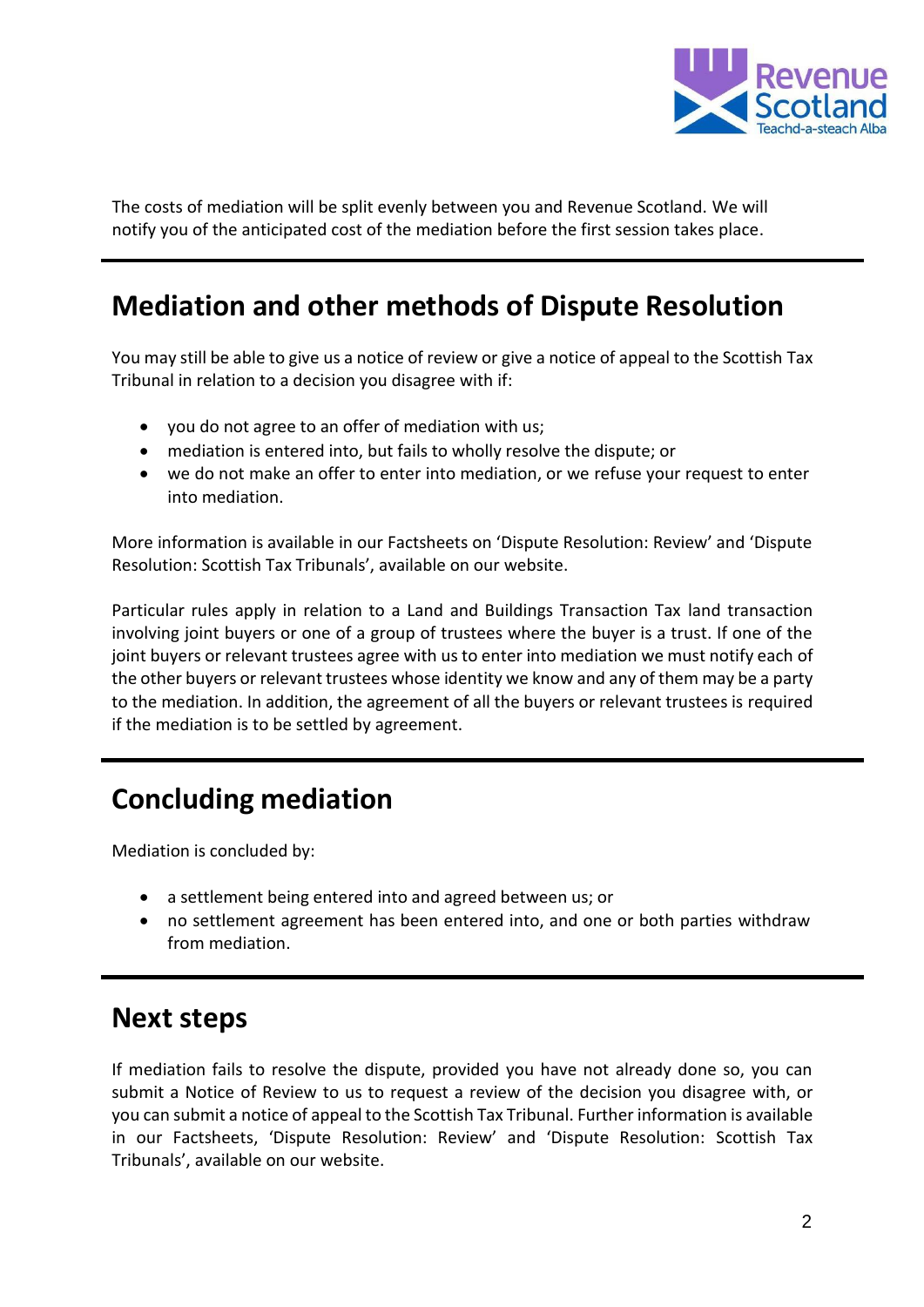

The costs of mediation will be split evenly between you and Revenue Scotland. We will notify you of the anticipated cost of the mediation before the first session takes place.

# **Mediation and other methods of Dispute Resolution**

You may still be able to give us a notice of review or give a notice of appeal to the Scottish Tax Tribunal in relation to a decision you disagree with if:

- you do not agree to an offer of mediation with us;
- mediation is entered into, but fails to wholly resolve the dispute; or
- we do not make an offer to enter into mediation, or we refuse your request to enter into mediation.

More information is available in our Factsheets on 'Dispute Resolution: Review' and 'Dispute Resolution: Scottish Tax Tribunals', available on our website.

Particular rules apply in relation to a Land and Buildings Transaction Tax land transaction involving joint buyers or one of a group of trustees where the buyer is a trust. If one of the joint buyers or relevant trustees agree with us to enter into mediation we must notify each of the other buyers or relevant trustees whose identity we know and any of them may be a party to the mediation. In addition, the agreement of all the buyers or relevant trustees is required if the mediation is to be settled by agreement.

## **Concluding mediation**

Mediation is concluded by:

- a settlement being entered into and agreed between us; or
- no settlement agreement has been entered into, and one or both parties withdraw from mediation.

### **Next steps**

If mediation fails to resolve the dispute, provided you have not already done so, you can submit a Notice of Review to us to request a review of the decision you disagree with, or you can submit a notice of appeal to the Scottish Tax Tribunal. Further information is available in our Factsheets, 'Dispute Resolution: Review' and 'Dispute Resolution: Scottish Tax Tribunals', available on our website.